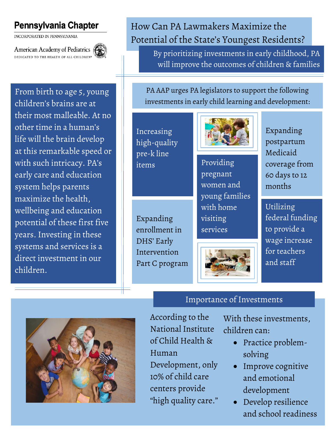## Pennsylvania Chapter

INCORPORATED IN PENNSYLVANIA

American Academy of Pediatrics DEDICATED TO THE HEALTH OF ALL CHILDREN®



From birth to age 5, young children's brains are at their most malleable. At no other time in a human's life will the brain develop at this remarkable speed or with such intricacy. PA's early care and education system helps parents maximize the health, wellbeing and education potential of these first five years. Investing in these systems and services is a direct investment in our children.

## How Can PA Lawmakers Maximize the Potential of the State's Youngest Residents?

By prioritizing investments in early childhood, PA will improve the outcomes of children & families

PA AAP urges PA legislators to support the following investments in early child learning and development:

Increasing high-quality pre-k line items Providing



ׇ֧֬



pregnant women and young families with home visiting services



Importance of Investments

Expanding postpartum Medicaid coverage from 60 days to 12 months

Utilizing federal funding to provide a wage increase for teachers and staff

According to the National Institute of Child Health & Human Development, only 10% of child care

centers provide

"high quality care."

With these investments, children can:

- Practice problemsolving
- Improve cognitive and emotional development
- Develop resilience and school readiness